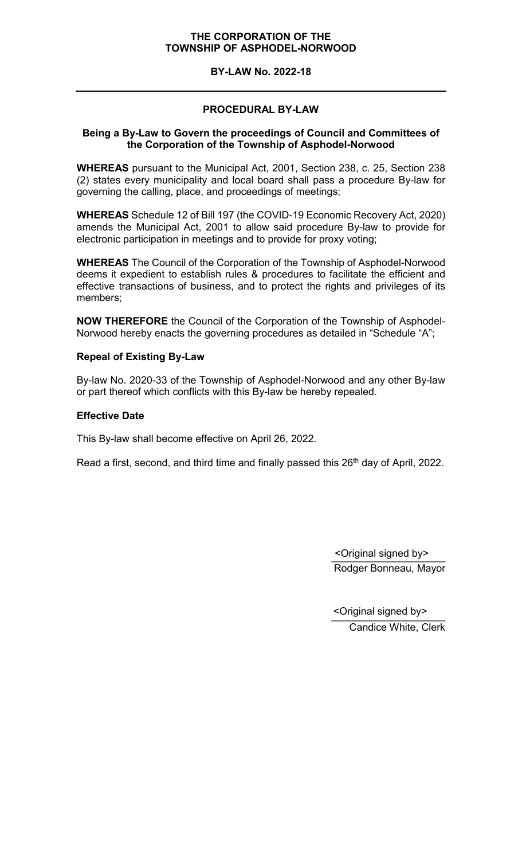#### **BY-LAW No. 2022-18**

# **PROCEDURAL BY-LAW**

# **Being a By-Law to Govern the proceedings of Council and Committees of the Corporation of the Township of Asphodel-Norwood**

**WHEREAS** pursuant to the Municipal Act, 2001, Section 238, c. 25, Section 238 (2) states every municipality and local board shall pass a procedure By-law for governing the calling, place, and proceedings of meetings;

**WHEREAS** Schedule 12 of Bill 197 (the COVID-19 Economic Recovery Act, 2020) amends the Municipal Act, 2001 to allow said procedure By-law to provide for electronic participation in meetings and to provide for proxy voting;

**WHEREAS** The Council of the Corporation of the Township of Asphodel-Norwood deems it expedient to establish rules & procedures to facilitate the efficient and effective transactions of business, and to protect the rights and privileges of its members;

**NOW THEREFORE** the Council of the Corporation of the Township of Asphodel-Norwood hereby enacts the governing procedures as detailed in "Schedule "A";

# **Repeal of Existing By-Law**

By-law No. 2020-33 of the Township of Asphodel-Norwood and any other By-law or part thereof which conflicts with this By-law be hereby repealed.

### **Effective Date**

This By-law shall become effective on April 26, 2022.

Read a first, second, and third time and finally passed this 26<sup>th</sup> day of April, 2022.

\_\_\_\_\_\_\_\_\_\_\_\_\_\_\_\_\_\_\_\_ <Original signed by> Rodger Bonneau, Mayor

\_\_\_\_\_\_\_\_\_\_\_\_\_\_\_\_\_\_\_\_ <Original signed by>Candice White, Clerk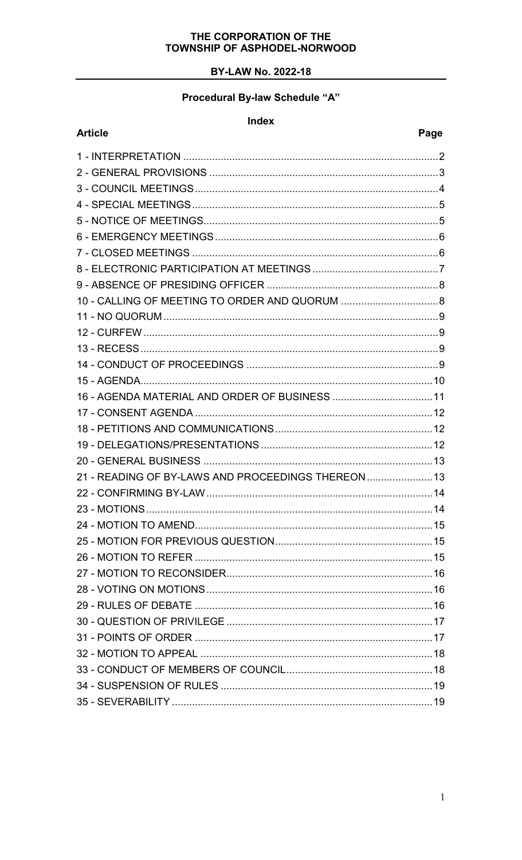# **BY-LAW No. 2022-18**

# Procedural By-law Schedule "A"

#### Index

**Article** 

| 21 - READING OF BY-LAWS AND PROCEEDINGS THEREON |  |
|-------------------------------------------------|--|
|                                                 |  |
|                                                 |  |
|                                                 |  |
|                                                 |  |
|                                                 |  |
|                                                 |  |
|                                                 |  |
|                                                 |  |
|                                                 |  |
|                                                 |  |
|                                                 |  |
|                                                 |  |
|                                                 |  |
|                                                 |  |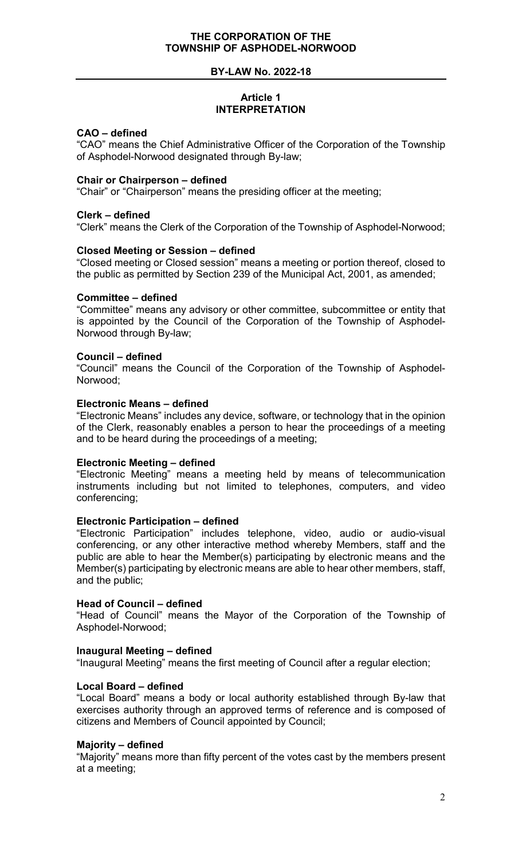#### **BY-LAW No. 2022-18**

# **Article 1 INTERPRETATION**

#### <span id="page-2-0"></span>**CAO – defined**

"CAO" means the Chief Administrative Officer of the Corporation of the Township of Asphodel-Norwood designated through By-law;

#### **Chair or Chairperson – defined**

"Chair" or "Chairperson" means the presiding officer at the meeting;

#### **Clerk – defined**

"Clerk" means the Clerk of the Corporation of the Township of Asphodel-Norwood;

#### **Closed Meeting or Session – defined**

"Closed meeting or Closed session" means a meeting or portion thereof, closed to the public as permitted by Section 239 of the Municipal Act, 2001, as amended;

#### **Committee – defined**

"Committee" means any advisory or other committee, subcommittee or entity that is appointed by the Council of the Corporation of the Township of Asphodel-Norwood through By-law;

#### **Council – defined**

"Council" means the Council of the Corporation of the Township of Asphodel-Norwood;

#### **Electronic Means – defined**

"Electronic Means" includes any device, software, or technology that in the opinion of the Clerk, reasonably enables a person to hear the proceedings of a meeting and to be heard during the proceedings of a meeting;

#### **Electronic Meeting – defined**

"Electronic Meeting" means a meeting held by means of telecommunication instruments including but not limited to telephones, computers, and video conferencing;

#### **Electronic Participation – defined**

"Electronic Participation" includes telephone, video, audio or audio-visual conferencing, or any other interactive method whereby Members, staff and the public are able to hear the Member(s) participating by electronic means and the Member(s) participating by electronic means are able to hear other members, staff, and the public;

#### **Head of Council – defined**

"Head of Council" means the Mayor of the Corporation of the Township of Asphodel-Norwood;

#### **Inaugural Meeting – defined**

"Inaugural Meeting" means the first meeting of Council after a regular election;

#### **Local Board – defined**

"Local Board" means a body or local authority established through By-law that exercises authority through an approved terms of reference and is composed of citizens and Members of Council appointed by Council;

#### **Majority – defined**

"Majority" means more than fifty percent of the votes cast by the members present at a meeting;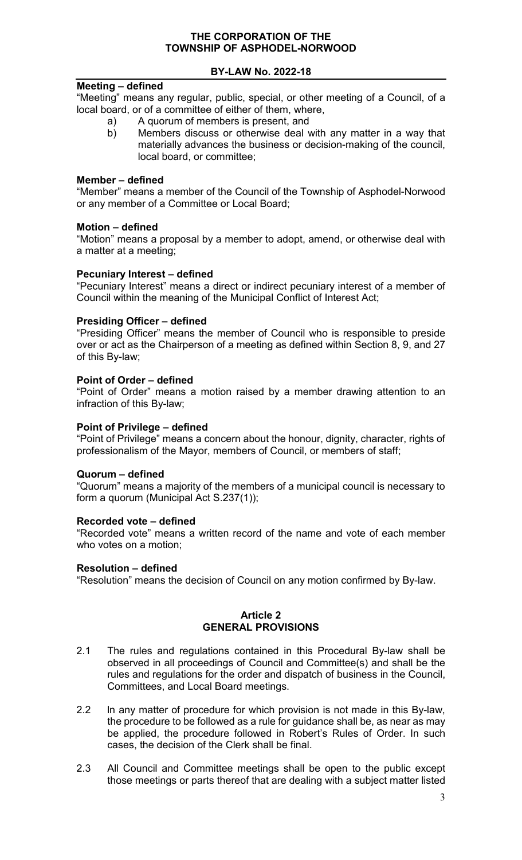# **BY-LAW No. 2022-18**

# **Meeting – defined**

"Meeting" means any regular, public, special, or other meeting of a Council, of a local board, or of a committee of either of them, where,

- a) A quorum of members is present, and
- b) Members discuss or otherwise deal with any matter in a way that materially advances the business or decision-making of the council, local board, or committee;

#### **Member – defined**

"Member" means a member of the Council of the Township of Asphodel-Norwood or any member of a Committee or Local Board;

#### **Motion – defined**

"Motion" means a proposal by a member to adopt, amend, or otherwise deal with a matter at a meeting;

#### **Pecuniary Interest – defined**

"Pecuniary Interest" means a direct or indirect pecuniary interest of a member of Council within the meaning of the Municipal Conflict of Interest Act;

#### **Presiding Officer – defined**

"Presiding Officer" means the member of Council who is responsible to preside over or act as the Chairperson of a meeting as defined within Section 8, 9, and 27 of this By-law;

#### **Point of Order – defined**

"Point of Order" means a motion raised by a member drawing attention to an infraction of this By-law;

#### **Point of Privilege – defined**

"Point of Privilege" means a concern about the honour, dignity, character, rights of professionalism of the Mayor, members of Council, or members of staff;

#### **Quorum – defined**

"Quorum" means a majority of the members of a municipal council is necessary to form a quorum (Municipal Act S.237(1));

#### **Recorded vote – defined**

"Recorded vote" means a written record of the name and vote of each member who votes on a motion;

#### **Resolution – defined**

"Resolution" means the decision of Council on any motion confirmed by By-law.

#### **Article 2 GENERAL PROVISIONS**

- <span id="page-3-0"></span>2.1 The rules and regulations contained in this Procedural By-law shall be observed in all proceedings of Council and Committee(s) and shall be the rules and regulations for the order and dispatch of business in the Council, Committees, and Local Board meetings.
- 2.2 ln any matter of procedure for which provision is not made in this By-law, the procedure to be followed as a rule for guidance shall be, as near as may be applied, the procedure followed in Robert's Rules of Order. In such cases, the decision of the Clerk shall be final.
- 2.3 All Council and Committee meetings shall be open to the public except those meetings or parts thereof that are dealing with a subject matter listed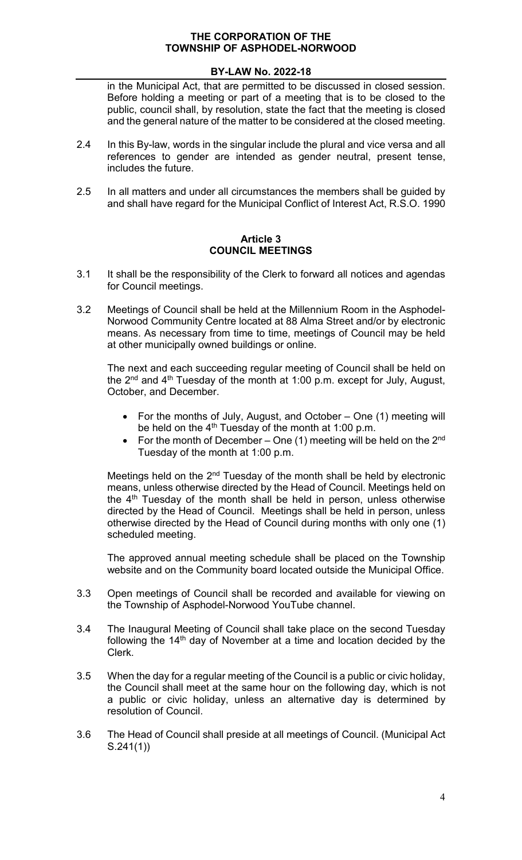# **BY-LAW No. 2022-18**

in the Municipal Act, that are permitted to be discussed in closed session. Before holding a meeting or part of a meeting that is to be closed to the public, council shall, by resolution, state the fact that the meeting is closed and the general nature of the matter to be considered at the closed meeting.

- 2.4 In this By-law, words in the singular include the plural and vice versa and all references to gender are intended as gender neutral, present tense, includes the future.
- 2.5 In all matters and under all circumstances the members shall be guided by and shall have regard for the Municipal Conflict of Interest Act, R.S.O. 1990

# **Article 3 COUNCIL MEETINGS**

- <span id="page-4-0"></span>3.1 It shall be the responsibility of the Clerk to forward all notices and agendas for Council meetings.
- 3.2 Meetings of Council shall be held at the Millennium Room in the Asphodel-Norwood Community Centre located at 88 Alma Street and/or by electronic means. As necessary from time to time, meetings of Council may be held at other municipally owned buildings or online.

The next and each succeeding regular meeting of Council shall be held on the  $2^{nd}$  and  $4^{th}$  Tuesday of the month at 1:00 p.m. except for July, August, October, and December.

- For the months of July, August, and October One (1) meeting will be held on the  $4<sup>th</sup>$  Tuesday of the month at 1:00 p.m.
- For the month of December One (1) meeting will be held on the  $2<sup>nd</sup>$ Tuesday of the month at 1:00 p.m.

Meetings held on the 2<sup>nd</sup> Tuesday of the month shall be held by electronic means, unless otherwise directed by the Head of Council. Meetings held on the 4<sup>th</sup> Tuesday of the month shall be held in person, unless otherwise directed by the Head of Council. Meetings shall be held in person, unless otherwise directed by the Head of Council during months with only one (1) scheduled meeting.

The approved annual meeting schedule shall be placed on the Township website and on the Community board located outside the Municipal Office.

- 3.3 Open meetings of Council shall be recorded and available for viewing on the Township of Asphodel-Norwood YouTube channel.
- 3.4 The Inaugural Meeting of Council shall take place on the second Tuesday following the 14th day of November at a time and location decided by the Clerk.
- 3.5 When the day for a regular meeting of the Council is a public or civic holiday, the Council shall meet at the same hour on the following day, which is not a public or civic holiday, unless an alternative day is determined by resolution of Council.
- 3.6 The Head of Council shall preside at all meetings of Council. (Municipal Act S.241(1))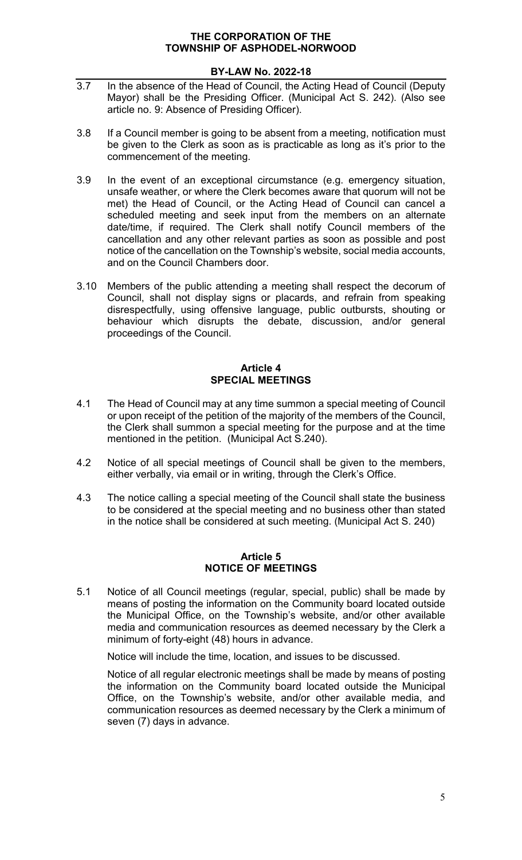# **BY-LAW No. 2022-18**

- 3.7 In the absence of the Head of Council, the Acting Head of Council (Deputy Mayor) shall be the Presiding Officer. (Municipal Act S. 242). (Also see article no. 9: Absence of Presiding Officer).
- 3.8 If a Council member is going to be absent from a meeting, notification must be given to the Clerk as soon as is practicable as long as it's prior to the commencement of the meeting.
- 3.9 In the event of an exceptional circumstance (e.g. emergency situation, unsafe weather, or where the Clerk becomes aware that quorum will not be met) the Head of Council, or the Acting Head of Council can cancel a scheduled meeting and seek input from the members on an alternate date/time, if required. The Clerk shall notify Council members of the cancellation and any other relevant parties as soon as possible and post notice of the cancellation on the Township's website, social media accounts, and on the Council Chambers door.
- 3.10 Members of the public attending a meeting shall respect the decorum of Council, shall not display signs or placards, and refrain from speaking disrespectfully, using offensive language, public outbursts, shouting or behaviour which disrupts the debate, discussion, and/or general proceedings of the Council.

# **Article 4 SPECIAL MEETINGS**

- <span id="page-5-0"></span>4.1 The Head of Council may at any time summon a special meeting of Council or upon receipt of the petition of the majority of the members of the Council, the Clerk shall summon a special meeting for the purpose and at the time mentioned in the petition. (Municipal Act S.240).
- 4.2 Notice of all special meetings of Council shall be given to the members, either verbally, via email or in writing, through the Clerk's Office.
- 4.3 The notice calling a special meeting of the Council shall state the business to be considered at the special meeting and no business other than stated in the notice shall be considered at such meeting. (Municipal Act S. 240)

### **Article 5 NOTICE OF MEETINGS**

<span id="page-5-1"></span>5.1 Notice of all Council meetings (regular, special, public) shall be made by means of posting the information on the Community board located outside the Municipal Office, on the Township's website, and/or other available media and communication resources as deemed necessary by the Clerk a minimum of forty-eight (48) hours in advance.

Notice will include the time, location, and issues to be discussed.

Notice of all regular electronic meetings shall be made by means of posting the information on the Community board located outside the Municipal Office, on the Township's website, and/or other available media, and communication resources as deemed necessary by the Clerk a minimum of seven (7) days in advance.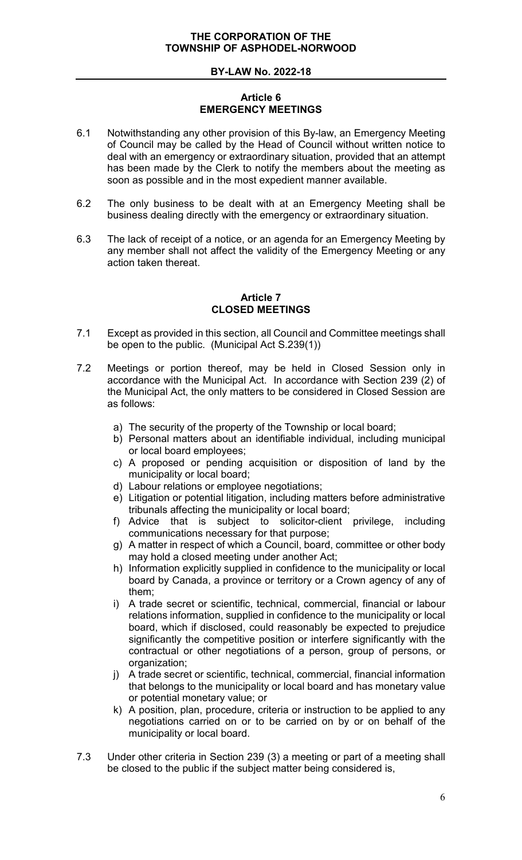# **Article 6 EMERGENCY MEETINGS**

- <span id="page-6-0"></span>6.1 Notwithstanding any other provision of this By-law, an Emergency Meeting of Council may be called by the Head of Council without written notice to deal with an emergency or extraordinary situation, provided that an attempt has been made by the Clerk to notify the members about the meeting as soon as possible and in the most expedient manner available.
- 6.2 The only business to be dealt with at an Emergency Meeting shall be business dealing directly with the emergency or extraordinary situation.
- 6.3 The lack of receipt of a notice, or an agenda for an Emergency Meeting by any member shall not affect the validity of the Emergency Meeting or any action taken thereat.

### **Article 7 CLOSED MEETINGS**

- <span id="page-6-1"></span>7.1 Except as provided in this section, all Council and Committee meetings shall be open to the public. (Municipal Act S.239(1))
- 7.2 Meetings or portion thereof, may be held in Closed Session only in accordance with the Municipal Act. In accordance with Section 239 (2) of the Municipal Act, the only matters to be considered in Closed Session are as follows:
	- a) The security of the property of the Township or local board;
	- b) Personal matters about an identifiable individual, including municipal or local board employees;
	- c) A proposed or pending acquisition or disposition of land by the municipality or local board;
	- d) Labour relations or employee negotiations;
	- e) Litigation or potential litigation, including matters before administrative tribunals affecting the municipality or local board;
	- f) Advice that is subject to solicitor-client privilege, including communications necessary for that purpose;
	- g) A matter in respect of which a Council, board, committee or other body may hold a closed meeting under another Act;
	- h) Information explicitly supplied in confidence to the municipality or local board by Canada, a province or territory or a Crown agency of any of them;
	- i) A trade secret or scientific, technical, commercial, financial or labour relations information, supplied in confidence to the municipality or local board, which if disclosed, could reasonably be expected to prejudice significantly the competitive position or interfere significantly with the contractual or other negotiations of a person, group of persons, or organization;
	- j) A trade secret or scientific, technical, commercial, financial information that belongs to the municipality or local board and has monetary value or potential monetary value; or
	- k) A position, plan, procedure, criteria or instruction to be applied to any negotiations carried on or to be carried on by or on behalf of the municipality or local board.
- 7.3 Under other criteria in Section 239 (3) a meeting or part of a meeting shall be closed to the public if the subject matter being considered is,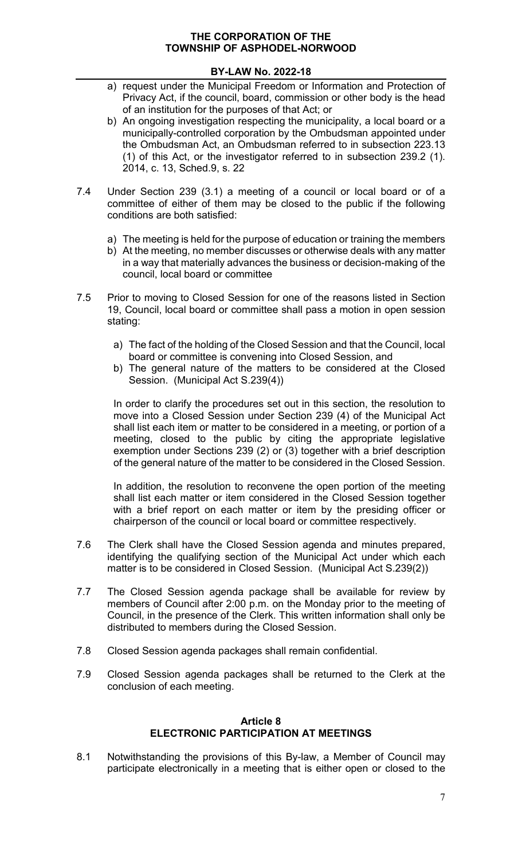# **BY-LAW No. 2022-18**

- a) request under the Municipal Freedom or Information and Protection of Privacy Act, if the council, board, commission or other body is the head of an institution for the purposes of that Act; or
- b) An ongoing investigation respecting the municipality, a local board or a municipally-controlled corporation by the Ombudsman appointed under the Ombudsman Act, an Ombudsman referred to in subsection 223.13 (1) of this Act, or the investigator referred to in subsection 239.2 (1). 2014, c. 13, Sched.9, s. 22
- 7.4 Under Section 239 (3.1) a meeting of a council or local board or of a committee of either of them may be closed to the public if the following conditions are both satisfied:
	- a) The meeting is held for the purpose of education or training the members
	- b) At the meeting, no member discusses or otherwise deals with any matter in a way that materially advances the business or decision-making of the council, local board or committee
- 7.5 Prior to moving to Closed Session for one of the reasons listed in Section 19, Council, local board or committee shall pass a motion in open session stating:
	- a) The fact of the holding of the Closed Session and that the Council, local board or committee is convening into Closed Session, and
	- b) The general nature of the matters to be considered at the Closed Session. (Municipal Act S.239(4))

In order to clarify the procedures set out in this section, the resolution to move into a Closed Session under Section 239 (4) of the Municipal Act shall list each item or matter to be considered in a meeting, or portion of a meeting, closed to the public by citing the appropriate legislative exemption under Sections 239 (2) or (3) together with a brief description of the general nature of the matter to be considered in the Closed Session.

In addition, the resolution to reconvene the open portion of the meeting shall list each matter or item considered in the Closed Session together with a brief report on each matter or item by the presiding officer or chairperson of the council or local board or committee respectively.

- 7.6 The Clerk shall have the Closed Session agenda and minutes prepared, identifying the qualifying section of the Municipal Act under which each matter is to be considered in Closed Session. (Municipal Act S.239(2))
- 7.7 The Closed Session agenda package shall be available for review by members of Council after 2:00 p.m. on the Monday prior to the meeting of Council, in the presence of the Clerk. This written information shall only be distributed to members during the Closed Session.
- 7.8 Closed Session agenda packages shall remain confidential.
- 7.9 Closed Session agenda packages shall be returned to the Clerk at the conclusion of each meeting.

### **Article 8 ELECTRONIC PARTICIPATION AT MEETINGS**

<span id="page-7-0"></span>8.1 Notwithstanding the provisions of this By-law, a Member of Council may participate electronically in a meeting that is either open or closed to the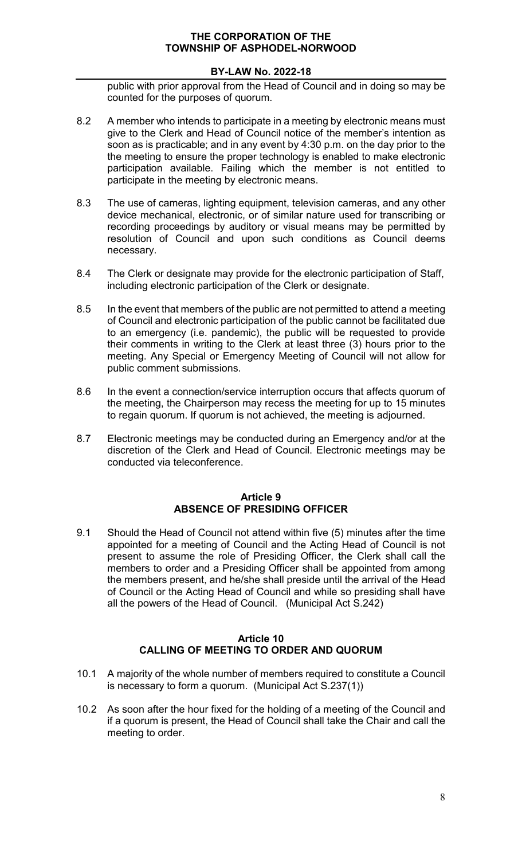# **BY-LAW No. 2022-18**

public with prior approval from the Head of Council and in doing so may be counted for the purposes of quorum.

- 8.2 A member who intends to participate in a meeting by electronic means must give to the Clerk and Head of Council notice of the member's intention as soon as is practicable; and in any event by 4:30 p.m. on the day prior to the the meeting to ensure the proper technology is enabled to make electronic participation available. Failing which the member is not entitled to participate in the meeting by electronic means.
- 8.3 The use of cameras, lighting equipment, television cameras, and any other device mechanical, electronic, or of similar nature used for transcribing or recording proceedings by auditory or visual means may be permitted by resolution of Council and upon such conditions as Council deems necessary.
- 8.4 The Clerk or designate may provide for the electronic participation of Staff, including electronic participation of the Clerk or designate.
- 8.5 In the event that members of the public are not permitted to attend a meeting of Council and electronic participation of the public cannot be facilitated due to an emergency (i.e. pandemic), the public will be requested to provide their comments in writing to the Clerk at least three (3) hours prior to the meeting. Any Special or Emergency Meeting of Council will not allow for public comment submissions.
- 8.6 In the event a connection/service interruption occurs that affects quorum of the meeting, the Chairperson may recess the meeting for up to 15 minutes to regain quorum. If quorum is not achieved, the meeting is adjourned.
- 8.7 Electronic meetings may be conducted during an Emergency and/or at the discretion of the Clerk and Head of Council. Electronic meetings may be conducted via teleconference.

#### **Article 9 ABSENCE OF PRESIDING OFFICER**

<span id="page-8-0"></span>9.1 Should the Head of Council not attend within five (5) minutes after the time appointed for a meeting of Council and the Acting Head of Council is not present to assume the role of Presiding Officer, the Clerk shall call the members to order and a Presiding Officer shall be appointed from among the members present, and he/she shall preside until the arrival of the Head of Council or the Acting Head of Council and while so presiding shall have all the powers of the Head of Council. (Municipal Act S.242)

#### **Article 10 CALLING OF MEETING TO ORDER AND QUORUM**

- <span id="page-8-1"></span>10.1 A majority of the whole number of members required to constitute a Council is necessary to form a quorum. (Municipal Act S.237(1))
- 10.2 As soon after the hour fixed for the holding of a meeting of the Council and if a quorum is present, the Head of Council shall take the Chair and call the meeting to order.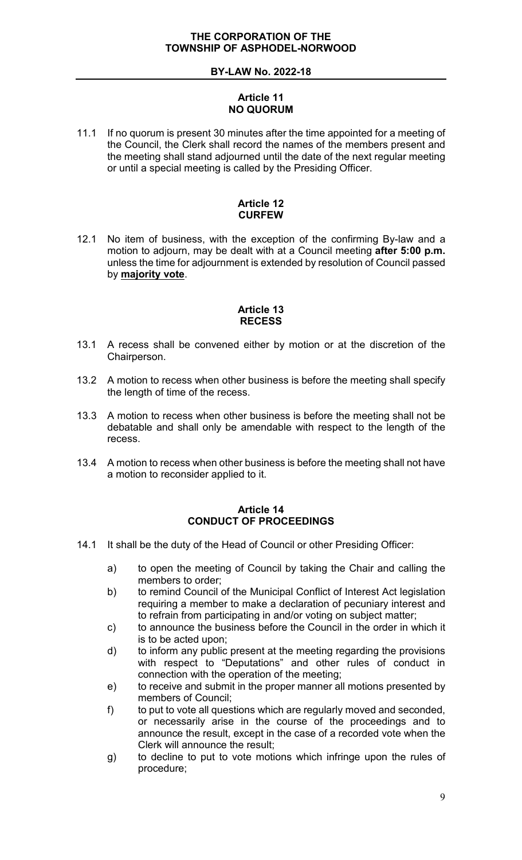# **Article 11 NO QUORUM**

<span id="page-9-0"></span>11.1 If no quorum is present 30 minutes after the time appointed for a meeting of the Council, the Clerk shall record the names of the members present and the meeting shall stand adjourned until the date of the next regular meeting or until a special meeting is called by the Presiding Officer.

# **Article 12 CURFEW**

<span id="page-9-1"></span>12.1 No item of business, with the exception of the confirming By-law and a motion to adjourn, may be dealt with at a Council meeting **after 5:00 p.m.** unless the time for adjournment is extended by resolution of Council passed by **majority vote**.

# **Article 13 RECESS**

- <span id="page-9-2"></span>13.1 A recess shall be convened either by motion or at the discretion of the Chairperson.
- 13.2 A motion to recess when other business is before the meeting shall specify the length of time of the recess.
- 13.3 A motion to recess when other business is before the meeting shall not be debatable and shall only be amendable with respect to the length of the recess.
- 13.4 A motion to recess when other business is before the meeting shall not have a motion to reconsider applied to it.

# **Article 14 CONDUCT OF PROCEEDINGS**

- <span id="page-9-3"></span>14.1 It shall be the duty of the Head of Council or other Presiding Officer:
	- a) to open the meeting of Council by taking the Chair and calling the members to order;
	- b) to remind Council of the Municipal Conflict of Interest Act legislation requiring a member to make a declaration of pecuniary interest and to refrain from participating in and/or voting on subject matter;
	- c) to announce the business before the Council in the order in which it is to be acted upon;
	- d) to inform any public present at the meeting regarding the provisions with respect to "Deputations" and other rules of conduct in connection with the operation of the meeting;
	- e) to receive and submit in the proper manner all motions presented by members of Council;
	- f) to put to vote all questions which are regularly moved and seconded, or necessarily arise in the course of the proceedings and to announce the result, except in the case of a recorded vote when the Clerk will announce the result;
	- g) to decline to put to vote motions which infringe upon the rules of procedure;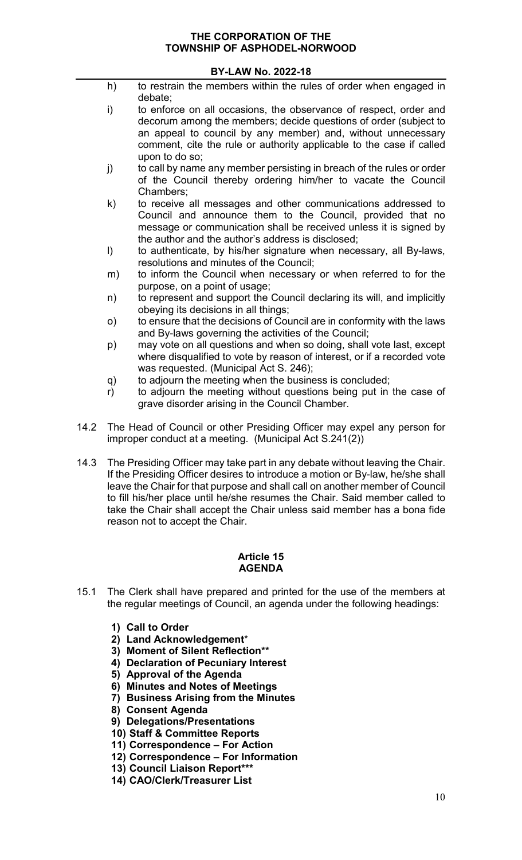# **BY-LAW No. 2022-18**

- h) to restrain the members within the rules of order when engaged in debate;
- i) to enforce on all occasions, the observance of respect, order and decorum among the members; decide questions of order (subject to an appeal to council by any member) and, without unnecessary comment, cite the rule or authority applicable to the case if called upon to do so;
- j) to call by name any member persisting in breach of the rules or order of the Council thereby ordering him/her to vacate the Council Chambers;
- k) to receive all messages and other communications addressed to Council and announce them to the Council, provided that no message or communication shall be received unless it is signed by the author and the author's address is disclosed;
- l) to authenticate, by his/her signature when necessary, all By-laws, resolutions and minutes of the Council;
- m) to inform the Council when necessary or when referred to for the purpose, on a point of usage;
- n) to represent and support the Council declaring its will, and implicitly obeying its decisions in all things;
- o) to ensure that the decisions of Council are in conformity with the laws and By-laws governing the activities of the Council;
- p) may vote on all questions and when so doing, shall vote last, except where disqualified to vote by reason of interest, or if a recorded vote was requested. (Municipal Act S. 246);
- q) to adjourn the meeting when the business is concluded;
- r) to adjourn the meeting without questions being put in the case of grave disorder arising in the Council Chamber.
- 14.2 The Head of Council or other Presiding Officer may expel any person for improper conduct at a meeting. (Municipal Act S.241(2))
- 14.3 The Presiding Officer may take part in any debate without leaving the Chair. If the Presiding Officer desires to introduce a motion or By-law, he/she shall leave the Chair for that purpose and shall call on another member of Council to fill his/her place until he/she resumes the Chair. Said member called to take the Chair shall accept the Chair unless said member has a bona fide reason not to accept the Chair.

### **Article 15 AGENDA**

- <span id="page-10-0"></span>15.1 The Clerk shall have prepared and printed for the use of the members at the regular meetings of Council, an agenda under the following headings:
	- **1) Call to Order**
	- **2) Land Acknowledgement**\*
	- **3) Moment of Silent Reflection\*\***
	- **4) Declaration of Pecuniary Interest**
	- **5) Approval of the Agenda**
	- **6) Minutes and Notes of Meetings**
	- **7) Business Arising from the Minutes**
	- **8) Consent Agenda**
	- **9) Delegations/Presentations**
	- **10) Staff & Committee Reports**
	- **11) Correspondence – For Action**
	- **12) Correspondence – For Information**
	- **13) Council Liaison Report\*\*\***
	- **14) CAO/Clerk/Treasurer List**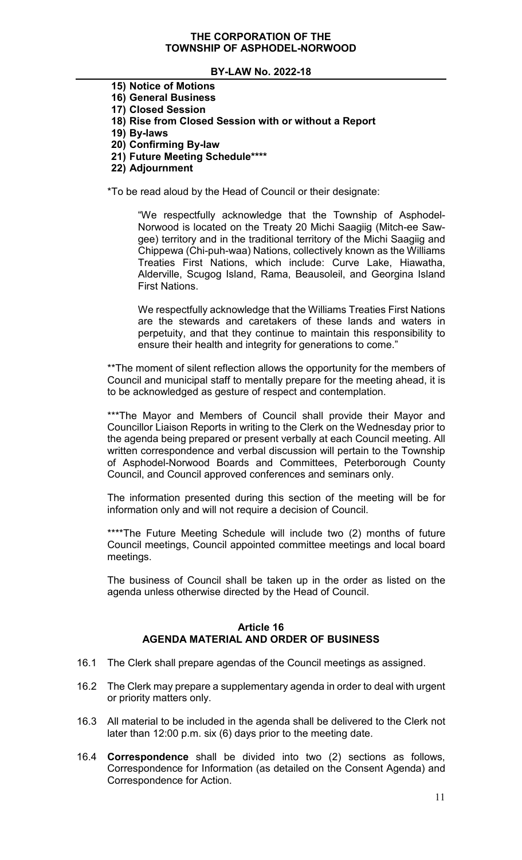### **BY-LAW No. 2022-18**

- **15) Notice of Motions**
- **16) General Business**
- **17) Closed Session**
- **18) Rise from Closed Session with or without a Report**
- **19) By-laws**
- **20) Confirming By-law**
- **21) Future Meeting Schedule\*\*\*\***
- **22) Adjournment**

\*To be read aloud by the Head of Council or their designate:

"We respectfully acknowledge that the Township of Asphodel-Norwood is located on the Treaty 20 Michi Saagiig (Mitch-ee Sawgee) territory and in the traditional territory of the Michi Saagiig and Chippewa (Chi-puh-waa) Nations, collectively known as the Williams Treaties First Nations, which include: Curve Lake, Hiawatha, Alderville, Scugog Island, Rama, Beausoleil, and Georgina Island First Nations.

We respectfully acknowledge that the Williams Treaties First Nations are the stewards and caretakers of these lands and waters in perpetuity, and that they continue to maintain this responsibility to ensure their health and integrity for generations to come."

\*\*The moment of silent reflection allows the opportunity for the members of Council and municipal staff to mentally prepare for the meeting ahead, it is to be acknowledged as gesture of respect and contemplation.

\*\*\*The Mayor and Members of Council shall provide their Mayor and Councillor Liaison Reports in writing to the Clerk on the Wednesday prior to the agenda being prepared or present verbally at each Council meeting. All written correspondence and verbal discussion will pertain to the Township of Asphodel-Norwood Boards and Committees, Peterborough County Council, and Council approved conferences and seminars only.

The information presented during this section of the meeting will be for information only and will not require a decision of Council.

\*\*\*\*The Future Meeting Schedule will include two (2) months of future Council meetings, Council appointed committee meetings and local board meetings.

The business of Council shall be taken up in the order as listed on the agenda unless otherwise directed by the Head of Council.

# **Article 16 AGENDA MATERIAL AND ORDER OF BUSINESS**

- <span id="page-11-0"></span>16.1 The Clerk shall prepare agendas of the Council meetings as assigned.
- 16.2 The Clerk may prepare a supplementary agenda in order to deal with urgent or priority matters only.
- 16.3 All material to be included in the agenda shall be delivered to the Clerk not later than 12:00 p.m. six (6) days prior to the meeting date.
- 16.4 **Correspondence** shall be divided into two (2) sections as follows, Correspondence for Information (as detailed on the Consent Agenda) and Correspondence for Action.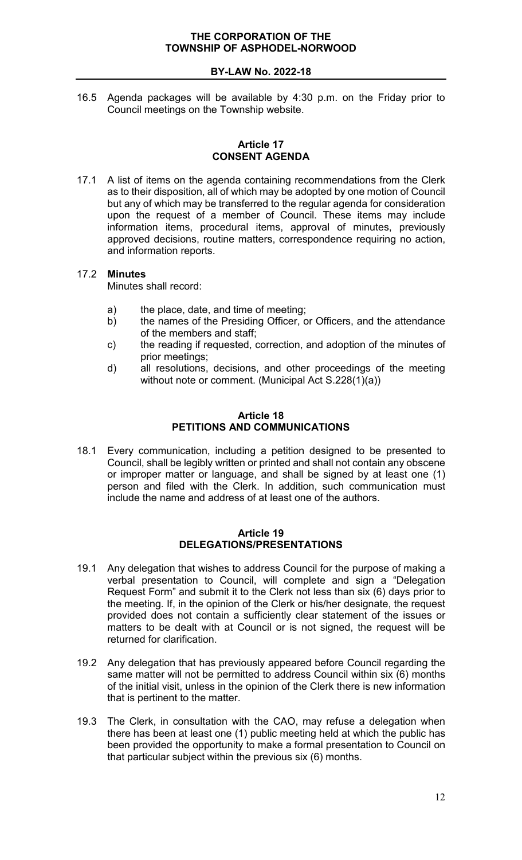16.5 Agenda packages will be available by 4:30 p.m. on the Friday prior to Council meetings on the Township website.

### **Article 17 CONSENT AGENDA**

<span id="page-12-0"></span>17.1 A list of items on the agenda containing recommendations from the Clerk as to their disposition, all of which may be adopted by one motion of Council but any of which may be transferred to the regular agenda for consideration upon the request of a member of Council. These items may include information items, procedural items, approval of minutes, previously approved decisions, routine matters, correspondence requiring no action, and information reports.

# 17.2 **Minutes**

Minutes shall record:

- a) the place, date, and time of meeting;
- b) the names of the Presiding Officer, or Officers, and the attendance of the members and staff;
- c) the reading if requested, correction, and adoption of the minutes of prior meetings;
- d) all resolutions, decisions, and other proceedings of the meeting without note or comment. (Municipal Act S.228(1)(a))

### **Article 18 PETITIONS AND COMMUNICATIONS**

<span id="page-12-1"></span>18.1 Every communication, including a petition designed to be presented to Council, shall be legibly written or printed and shall not contain any obscene or improper matter or language, and shall be signed by at least one (1) person and filed with the Clerk. In addition, such communication must include the name and address of at least one of the authors.

#### **Article 19 DELEGATIONS/PRESENTATIONS**

- <span id="page-12-2"></span>19.1 Any delegation that wishes to address Council for the purpose of making a verbal presentation to Council, will complete and sign a "Delegation Request Form" and submit it to the Clerk not less than six (6) days prior to the meeting. If, in the opinion of the Clerk or his/her designate, the request provided does not contain a sufficiently clear statement of the issues or matters to be dealt with at Council or is not signed, the request will be returned for clarification.
- 19.2 Any delegation that has previously appeared before Council regarding the same matter will not be permitted to address Council within six (6) months of the initial visit, unless in the opinion of the Clerk there is new information that is pertinent to the matter.
- 19.3 The Clerk, in consultation with the CAO, may refuse a delegation when there has been at least one (1) public meeting held at which the public has been provided the opportunity to make a formal presentation to Council on that particular subject within the previous six (6) months.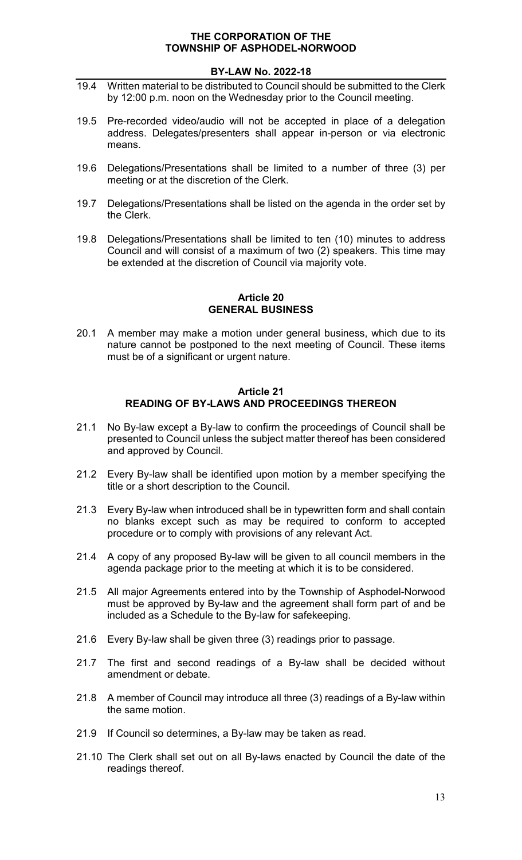# **BY-LAW No. 2022-18**

- 19.4 Written material to be distributed to Council should be submitted to the Clerk by 12:00 p.m. noon on the Wednesday prior to the Council meeting.
- 19.5 Pre-recorded video/audio will not be accepted in place of a delegation address. Delegates/presenters shall appear in-person or via electronic means.
- 19.6 Delegations/Presentations shall be limited to a number of three (3) per meeting or at the discretion of the Clerk.
- 19.7 Delegations/Presentations shall be listed on the agenda in the order set by the Clerk.
- 19.8 Delegations/Presentations shall be limited to ten (10) minutes to address Council and will consist of a maximum of two (2) speakers. This time may be extended at the discretion of Council via majority vote.

#### **Article 20 GENERAL BUSINESS**

<span id="page-13-0"></span>20.1 A member may make a motion under general business, which due to its nature cannot be postponed to the next meeting of Council. These items must be of a significant or urgent nature.

### **Article 21 READING OF BY-LAWS AND PROCEEDINGS THEREON**

- <span id="page-13-1"></span>21.1 No By-law except a By-law to confirm the proceedings of Council shall be presented to Council unless the subject matter thereof has been considered and approved by Council.
- 21.2 Every By-law shall be identified upon motion by a member specifying the title or a short description to the Council.
- 21.3 Every By-law when introduced shall be in typewritten form and shall contain no blanks except such as may be required to conform to accepted procedure or to comply with provisions of any relevant Act.
- 21.4 A copy of any proposed By-law will be given to all council members in the agenda package prior to the meeting at which it is to be considered.
- 21.5 All major Agreements entered into by the Township of Asphodel-Norwood must be approved by By-law and the agreement shall form part of and be included as a Schedule to the By-law for safekeeping.
- 21.6 Every By-law shall be given three (3) readings prior to passage.
- 21.7 The first and second readings of a By-law shall be decided without amendment or debate.
- 21.8 A member of Council may introduce all three (3) readings of a By-law within the same motion.
- 21.9 If Council so determines, a By-law may be taken as read.
- 21.10 The Clerk shall set out on all By-laws enacted by Council the date of the readings thereof.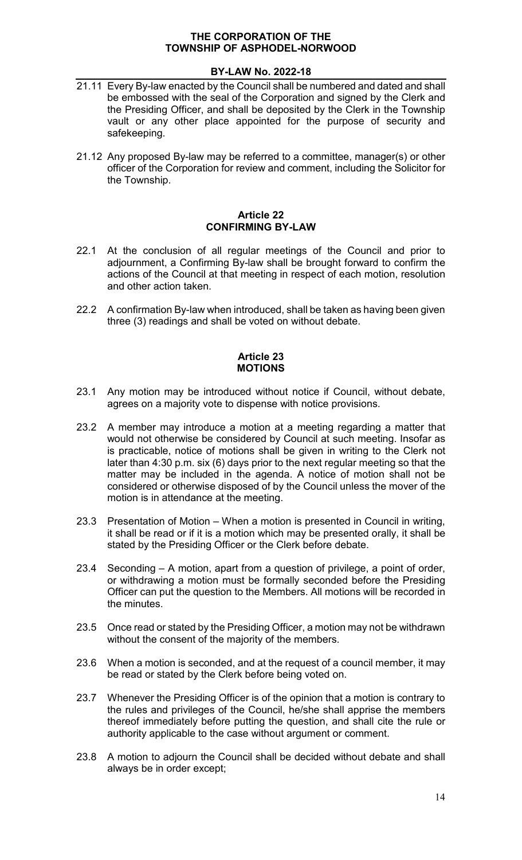# **BY-LAW No. 2022-18**

- 21.11 Every By-law enacted by the Council shall be numbered and dated and shall be embossed with the seal of the Corporation and signed by the Clerk and the Presiding Officer, and shall be deposited by the Clerk in the Township vault or any other place appointed for the purpose of security and safekeeping.
- 21.12 Any proposed By-law may be referred to a committee, manager(s) or other officer of the Corporation for review and comment, including the Solicitor for the Township.

### **Article 22 CONFIRMING BY-LAW**

- <span id="page-14-0"></span>22.1 At the conclusion of all regular meetings of the Council and prior to adjournment, a Confirming By-law shall be brought forward to confirm the actions of the Council at that meeting in respect of each motion, resolution and other action taken.
- 22.2 A confirmation By-law when introduced, shall be taken as having been given three (3) readings and shall be voted on without debate.

### **Article 23 MOTIONS**

- <span id="page-14-1"></span>23.1 Any motion may be introduced without notice if Council, without debate, agrees on a majority vote to dispense with notice provisions.
- 23.2 A member may introduce a motion at a meeting regarding a matter that would not otherwise be considered by Council at such meeting. Insofar as is practicable, notice of motions shall be given in writing to the Clerk not later than 4:30 p.m. six (6) days prior to the next regular meeting so that the matter may be included in the agenda. A notice of motion shall not be considered or otherwise disposed of by the Council unless the mover of the motion is in attendance at the meeting.
- 23.3 Presentation of Motion When a motion is presented in Council in writing, it shall be read or if it is a motion which may be presented orally, it shall be stated by the Presiding Officer or the Clerk before debate.
- 23.4 Seconding A motion, apart from a question of privilege, a point of order, or withdrawing a motion must be formally seconded before the Presiding Officer can put the question to the Members. All motions will be recorded in the minutes.
- 23.5 Once read or stated by the Presiding Officer, a motion may not be withdrawn without the consent of the majority of the members.
- 23.6 When a motion is seconded, and at the request of a council member, it may be read or stated by the Clerk before being voted on.
- 23.7 Whenever the Presiding Officer is of the opinion that a motion is contrary to the rules and privileges of the Council, he/she shall apprise the members thereof immediately before putting the question, and shall cite the rule or authority applicable to the case without argument or comment.
- 23.8 A motion to adjourn the Council shall be decided without debate and shall always be in order except;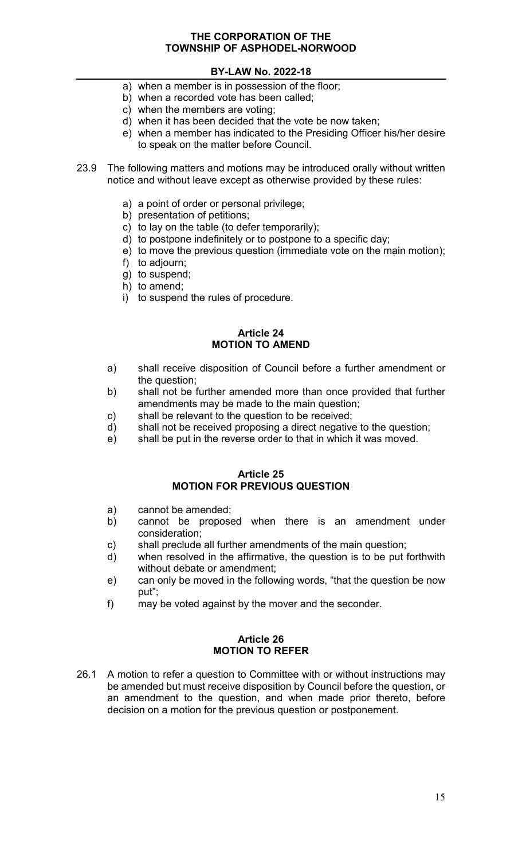# **BY-LAW No. 2022-18**

- a) when a member is in possession of the floor;
- b) when a recorded vote has been called;
- c) when the members are voting;
- d) when it has been decided that the vote be now taken;
- e) when a member has indicated to the Presiding Officer his/her desire to speak on the matter before Council.
- 23.9 The following matters and motions may be introduced orally without written notice and without leave except as otherwise provided by these rules:
	- a) a point of order or personal privilege;
	- b) presentation of petitions;
	- c) to lay on the table (to defer temporarily);
	- d) to postpone indefinitely or to postpone to a specific day;
	- e) to move the previous question (immediate vote on the main motion);
	- f) to adjourn;
	- g) to suspend;
	- h) to amend;
	- i) to suspend the rules of procedure.

### **Article 24 MOTION TO AMEND**

- <span id="page-15-0"></span>a) shall receive disposition of Council before a further amendment or the question;
- b) shall not be further amended more than once provided that further amendments may be made to the main question;
- c) shall be relevant to the question to be received;
- d) shall not be received proposing a direct negative to the question;
- e) shall be put in the reverse order to that in which it was moved.

#### **Article 25 MOTION FOR PREVIOUS QUESTION**

- <span id="page-15-1"></span>a) cannot be amended;
- b) cannot be proposed when there is an amendment under consideration;
- c) shall preclude all further amendments of the main question;
- d) when resolved in the affirmative, the question is to be put forthwith without debate or amendment;
- e) can only be moved in the following words, "that the question be now put";
- f) may be voted against by the mover and the seconder.

### **Article 26 MOTION TO REFER**

<span id="page-15-2"></span>26.1 A motion to refer a question to Committee with or without instructions may be amended but must receive disposition by Council before the question, or an amendment to the question, and when made prior thereto, before decision on a motion for the previous question or postponement.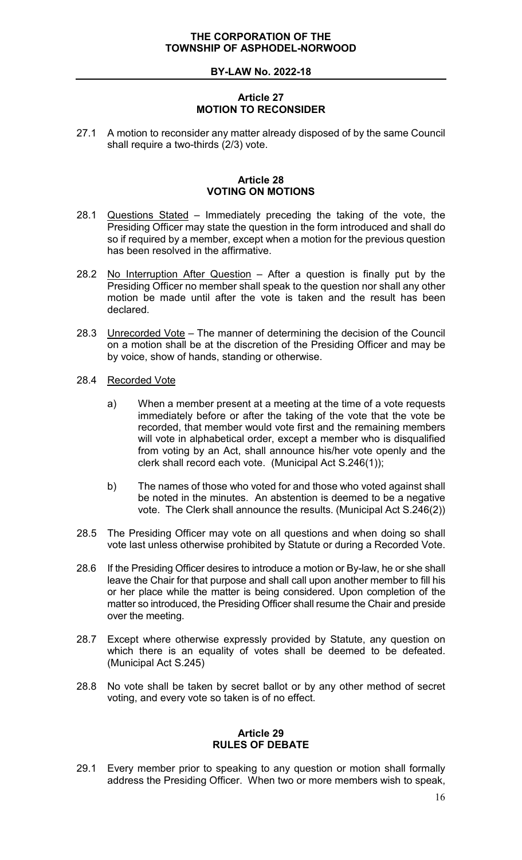# **Article 27 MOTION TO RECONSIDER**

<span id="page-16-0"></span>27.1 A motion to reconsider any matter already disposed of by the same Council shall require a two-thirds (2/3) vote.

### **Article 28 VOTING ON MOTIONS**

- <span id="page-16-1"></span>28.1 Questions Stated – Immediately preceding the taking of the vote, the Presiding Officer may state the question in the form introduced and shall do so if required by a member, except when a motion for the previous question has been resolved in the affirmative.
- 28.2 No Interruption After Question After a question is finally put by the Presiding Officer no member shall speak to the question nor shall any other motion be made until after the vote is taken and the result has been declared.
- 28.3 Unrecorded Vote The manner of determining the decision of the Council on a motion shall be at the discretion of the Presiding Officer and may be by voice, show of hands, standing or otherwise.
- 28.4 Recorded Vote
	- a) When a member present at a meeting at the time of a vote requests immediately before or after the taking of the vote that the vote be recorded, that member would vote first and the remaining members will vote in alphabetical order, except a member who is disqualified from voting by an Act, shall announce his/her vote openly and the clerk shall record each vote. (Municipal Act S.246(1));
	- b) The names of those who voted for and those who voted against shall be noted in the minutes. An abstention is deemed to be a negative vote. The Clerk shall announce the results. (Municipal Act S.246(2))
- 28.5 The Presiding Officer may vote on all questions and when doing so shall vote last unless otherwise prohibited by Statute or during a Recorded Vote.
- 28.6 If the Presiding Officer desires to introduce a motion or By-law, he or she shall leave the Chair for that purpose and shall call upon another member to fill his or her place while the matter is being considered. Upon completion of the matter so introduced, the Presiding Officer shall resume the Chair and preside over the meeting.
- 28.7 Except where otherwise expressly provided by Statute, any question on which there is an equality of votes shall be deemed to be defeated. (Municipal Act S.245)
- 28.8 No vote shall be taken by secret ballot or by any other method of secret voting, and every vote so taken is of no effect.

#### **Article 29 RULES OF DEBATE**

<span id="page-16-2"></span>29.1 Every member prior to speaking to any question or motion shall formally address the Presiding Officer. When two or more members wish to speak,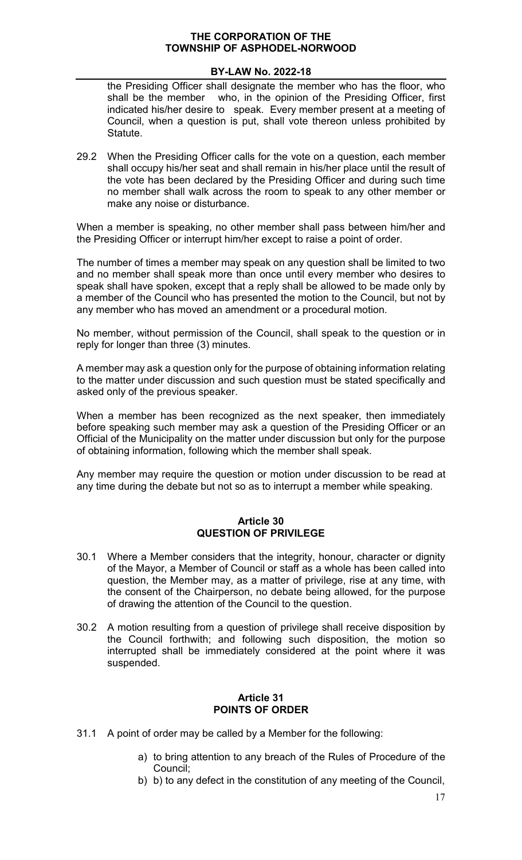# **BY-LAW No. 2022-18**

the Presiding Officer shall designate the member who has the floor, who shall be the member who, in the opinion of the Presiding Officer, first indicated his/her desire to speak. Every member present at a meeting of Council, when a question is put, shall vote thereon unless prohibited by **Statute** 

29.2 When the Presiding Officer calls for the vote on a question, each member shall occupy his/her seat and shall remain in his/her place until the result of the vote has been declared by the Presiding Officer and during such time no member shall walk across the room to speak to any other member or make any noise or disturbance.

When a member is speaking, no other member shall pass between him/her and the Presiding Officer or interrupt him/her except to raise a point of order.

The number of times a member may speak on any question shall be limited to two and no member shall speak more than once until every member who desires to speak shall have spoken, except that a reply shall be allowed to be made only by a member of the Council who has presented the motion to the Council, but not by any member who has moved an amendment or a procedural motion.

No member, without permission of the Council, shall speak to the question or in reply for longer than three (3) minutes.

A member may ask a question only for the purpose of obtaining information relating to the matter under discussion and such question must be stated specifically and asked only of the previous speaker.

When a member has been recognized as the next speaker, then immediately before speaking such member may ask a question of the Presiding Officer or an Official of the Municipality on the matter under discussion but only for the purpose of obtaining information, following which the member shall speak.

Any member may require the question or motion under discussion to be read at any time during the debate but not so as to interrupt a member while speaking.

#### **Article 30 QUESTION OF PRIVILEGE**

- <span id="page-17-0"></span>30.1 Where a Member considers that the integrity, honour, character or dignity of the Mayor, a Member of Council or staff as a whole has been called into question, the Member may, as a matter of privilege, rise at any time, with the consent of the Chairperson, no debate being allowed, for the purpose of drawing the attention of the Council to the question.
- 30.2 A motion resulting from a question of privilege shall receive disposition by the Council forthwith; and following such disposition, the motion so interrupted shall be immediately considered at the point where it was suspended.

#### **Article 31 POINTS OF ORDER**

- <span id="page-17-1"></span>31.1 A point of order may be called by a Member for the following:
	- a) to bring attention to any breach of the Rules of Procedure of the Council;
	- b) b) to any defect in the constitution of any meeting of the Council,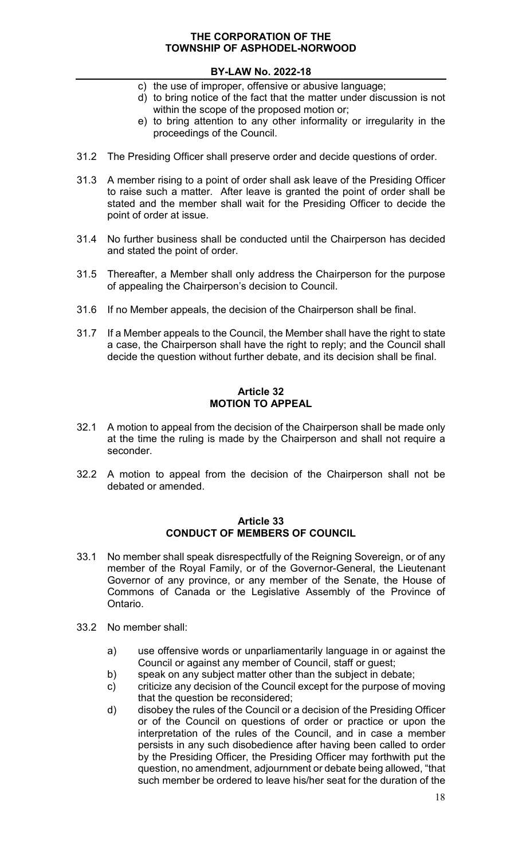# **BY-LAW No. 2022-18**

- c) the use of improper, offensive or abusive language;
- d) to bring notice of the fact that the matter under discussion is not within the scope of the proposed motion or;
- e) to bring attention to any other informality or irregularity in the proceedings of the Council.
- 31.2 The Presiding Officer shall preserve order and decide questions of order.
- 31.3 A member rising to a point of order shall ask leave of the Presiding Officer to raise such a matter. After leave is granted the point of order shall be stated and the member shall wait for the Presiding Officer to decide the point of order at issue.
- 31.4 No further business shall be conducted until the Chairperson has decided and stated the point of order.
- 31.5 Thereafter, a Member shall only address the Chairperson for the purpose of appealing the Chairperson's decision to Council.
- 31.6 If no Member appeals, the decision of the Chairperson shall be final.
- 31.7 If a Member appeals to the Council, the Member shall have the right to state a case, the Chairperson shall have the right to reply; and the Council shall decide the question without further debate, and its decision shall be final.

# **Article 32 MOTION TO APPEAL**

- <span id="page-18-0"></span>32.1 A motion to appeal from the decision of the Chairperson shall be made only at the time the ruling is made by the Chairperson and shall not require a seconder.
- 32.2 A motion to appeal from the decision of the Chairperson shall not be debated or amended.

#### **Article 33 CONDUCT OF MEMBERS OF COUNCIL**

- <span id="page-18-1"></span>33.1 No member shall speak disrespectfully of the Reigning Sovereign, or of any member of the Royal Family, or of the Governor-General, the Lieutenant Governor of any province, or any member of the Senate, the House of Commons of Canada or the Legislative Assembly of the Province of Ontario.
- 33.2 No member shall:
	- a) use offensive words or unparliamentarily language in or against the Council or against any member of Council, staff or guest;
	- b) speak on any subject matter other than the subject in debate;
	- c) criticize any decision of the Council except for the purpose of moving that the question be reconsidered;
	- d) disobey the rules of the Council or a decision of the Presiding Officer or of the Council on questions of order or practice or upon the interpretation of the rules of the Council, and in case a member persists in any such disobedience after having been called to order by the Presiding Officer, the Presiding Officer may forthwith put the question, no amendment, adjournment or debate being allowed, "that such member be ordered to leave his/her seat for the duration of the